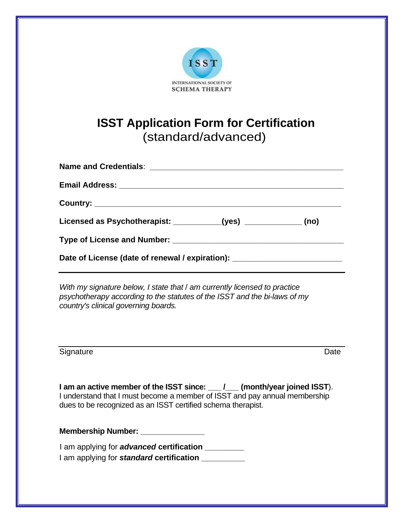

# **ISST Application Form for Certification** (standard/advanced)

| Licensed as Psychotherapist: ___________(yes) ______________ (no)                |  |
|----------------------------------------------------------------------------------|--|
|                                                                                  |  |
| Date of License (date of renewal / expiration): ________________________________ |  |

*With my signature below, I state that* / *am currently licensed to practice psychotherapy according to the statutes of the ISST and the bi-laws of my country's clinical governing boards.* 

Signature Date

**I am an active member of the ISST since: \_\_\_ /\_\_\_ (month/year joined ISST**). I understand that I must become a member of ISST and pay annual membership dues to be recognized as an ISST certified schema therapist.

**Membership Number: \_\_\_\_\_\_\_\_\_\_\_\_\_\_\_\_\_** 

I am applying for *advanced* **certification \_\_\_\_\_\_\_\_\_**  I am applying for *standard* **certification \_\_\_\_\_\_\_\_\_\_**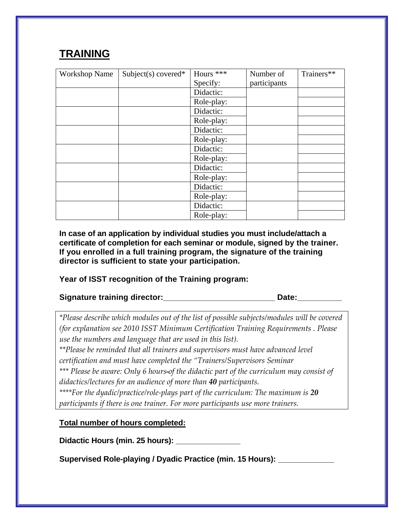## **TRAINING**

| <b>Workshop Name</b> | Subject(s) covered* | Hours ***  | Number of    | Trainers** |
|----------------------|---------------------|------------|--------------|------------|
|                      |                     | Specify:   | participants |            |
|                      |                     | Didactic:  |              |            |
|                      |                     | Role-play: |              |            |
|                      |                     | Didactic:  |              |            |
|                      |                     | Role-play: |              |            |
|                      |                     | Didactic:  |              |            |
|                      |                     | Role-play: |              |            |
|                      |                     | Didactic:  |              |            |
|                      |                     | Role-play: |              |            |
|                      |                     | Didactic:  |              |            |
|                      |                     | Role-play: |              |            |
|                      |                     | Didactic:  |              |            |
|                      |                     | Role-play: |              |            |
|                      |                     | Didactic:  |              |            |
|                      |                     | Role-play: |              |            |

**In case of an application by individual studies you must include/attach a certificate of completion for each seminar or module, signed by the trainer. If you enrolled in a full training program, the signature of the training director is sufficient to state your participation.** 

#### **Year of ISST recognition of the Training program:**

### Signature training director:<br>
ate:

*\*Please describe which modules out of the list of possible subjects/modules will be covered (for explanation see 2010 ISST Minimum Certification Training Requirements . Please use the numbers and language that are used in this list).*

*\*\*Please be reminded that all trainers and supervisors must have advanced level certification and must have completed the "Trainers/Supervisors Seminar* 

*\*\*\* Please be aware: Only 6 hours of the didactic part of the curriculum may consist of didactics/lectures for an audience of more than 40 participants.* 

*\*\*\*\*For the dyadic/practice/role‐plays part of the curriculum: The maximum is 20 participants if there is one trainer. For more participants use more trainers.*

#### **Total number of hours completed:**

**Didactic Hours (min. 25 hours): \_\_\_\_\_\_\_\_\_\_\_\_\_\_\_** 

**Supervised Role-playing / Dyadic Practice (min. 15 Hours): \_\_\_\_\_\_\_\_\_\_\_\_\_**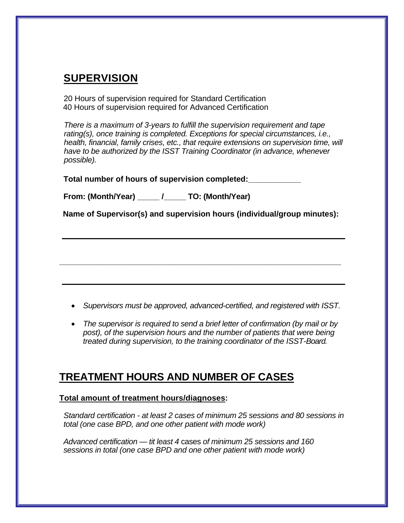## **SUPERVISION**

20 Hours of supervision required for Standard Certification 40 Hours of supervision required for Advanced Certification

*There is a maximum of 3-years to fulfill the supervision requirement and tape rating(s), once training is completed. Exceptions for special circumstances, i.e., health, financial, family crises, etc., that require extensions on supervision time, will have to be authorized by the ISST Training Coordinator (in advance, whenever possible).*

**Total number of hours of supervision completed:\_\_\_\_\_\_\_\_\_\_\_\_**

**From: (Month/Year) \_\_\_\_\_ /\_\_\_\_\_ TO: (Month/Year)**

**Name of Supervisor(s) and supervision hours (individual/group minutes):** 

**\_\_\_\_\_\_\_\_\_\_\_\_\_\_\_\_\_\_\_\_\_\_\_\_\_\_\_\_\_\_\_\_\_\_\_\_\_\_\_\_\_\_\_\_\_\_\_\_\_\_\_\_\_\_\_\_\_\_\_\_\_\_\_\_** 

- *Supervisors must be approved, advanced-certified, and registered with ISST.*
- *The supervisor is required to send a brief letter of confirmation (by mail or by post), of the supervision hours and the number of patients that were being treated during supervision, to the training coordinator of the ISST-Board.*

### **TREATMENT HOURS AND NUMBER OF CASES**

#### **Total amount of treatment hours/diagnoses:**

*Standard certification - at least 2 cases of minimum 25 sessions and 80 sessions in total (one case BPD, and one other patient with mode work)*

*Advanced certification — tit least 4* cases *of minimum 25 sessions and 160 sessions in total (one case BPD and one other patient with mode work)*